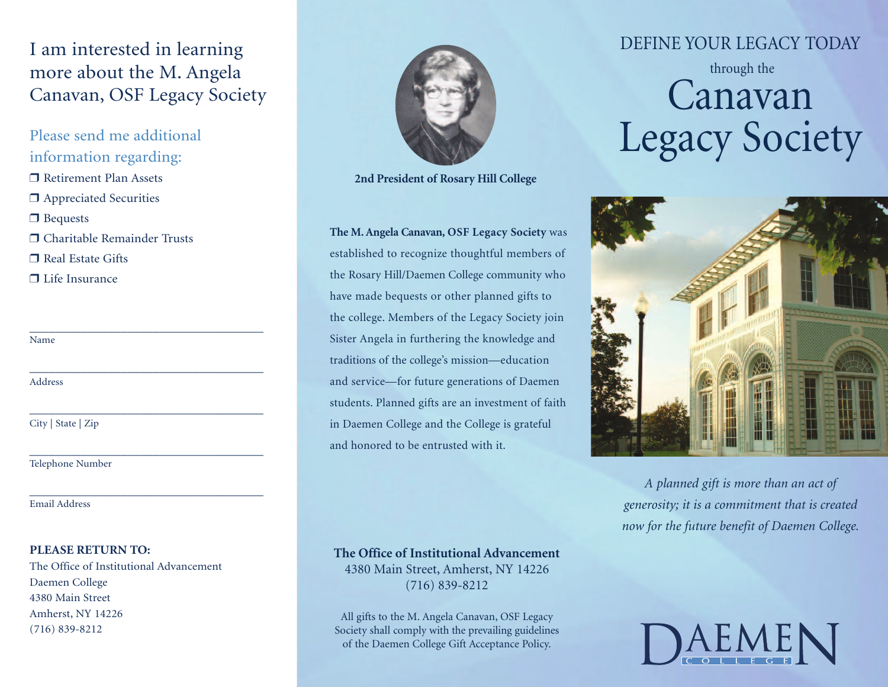## I am interested in learning more about the M. Angela Canavan, OSF Legacy Society

\_\_\_\_\_\_\_\_\_\_\_\_\_\_\_\_\_\_\_\_\_\_\_\_\_\_\_\_\_\_\_\_\_\_\_\_

\_\_\_\_\_\_\_\_\_\_\_\_\_\_\_\_\_\_\_\_\_\_\_\_\_\_\_\_\_\_\_\_\_\_\_\_

\_\_\_\_\_\_\_\_\_\_\_\_\_\_\_\_\_\_\_\_\_\_\_\_\_\_\_\_\_\_\_\_\_\_\_\_

\_\_\_\_\_\_\_\_\_\_\_\_\_\_\_\_\_\_\_\_\_\_\_\_\_\_\_\_\_\_\_\_\_\_\_\_

\_\_\_\_\_\_\_\_\_\_\_\_\_\_\_\_\_\_\_\_\_\_\_\_\_\_\_\_\_\_\_\_\_\_\_\_

Please send me additional information regarding:  $\Box$  Retirement Plan Assets  $\Box$  Appreciated Securities  $\Box$  Bequests r Charitable Remainder Trusts

 $\Box$  Real Estate Gifts

 $\Box$  Life Insurance

Name

Address

City | State | Zip

Telephone Number

Email Address

#### **PLEASE RETURN TO:**

The Office of Institutional Advancement Daemen College 4380 Main Street Amherst, NY 14226 (716) 839-8212



**2nd President of Rosary Hill College**

**The M.Angela Canavan, OSF Legacy Society** was established to recognize thoughtful members of the Rosary Hill/Daemen College community who have made bequests or other planned gifts to the college. Members of the Legacy Society join Sister Angela in furthering the knowledge and traditions of the college's mission—education and service—for future generations of Daemen students. Planned gifts are an investment of faith in Daemen College and the College is grateful and honored to be entrusted with it.

**The Office of Institutional Advancement**

4380 Main Street, Amherst, NY 14226 (716) 839-8212

All gifts to the M. Angela Canavan, OSF Legacy Society shall comply with the prevailing guidelines of the Daemen College Gift Acceptance Policy.

### DEFINE YOUR LEGACY TODAY

# through the Canavan Legacy Society



*A planned gift is more than an act of generosity; it is a commitment that is created now for the future benefit of Daemen College.*